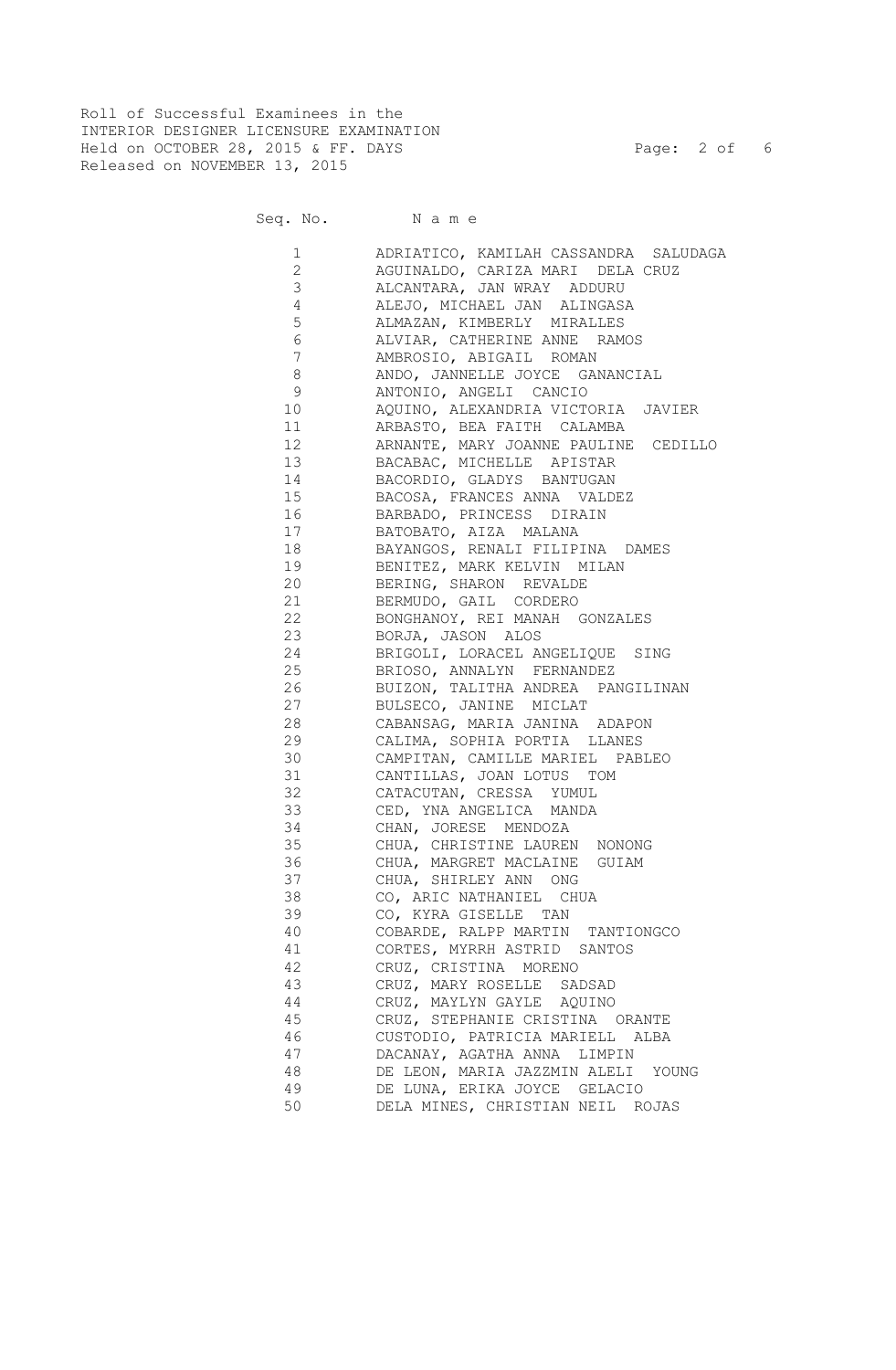Roll of Successful Examinees in the INTERIOR DESIGNER LICENSURE EXAMINATION Held on OCTOBER 28, 2015 & FF. DAYS Page: 2 of 6 Released on NOVEMBER 13, 2015

Seq. No. Name

| 1                                                                                                                                                                                                                                                                                                                                                                                           | ADRIATICO, KAMILAH CASSANDRA SALUDAGA |
|---------------------------------------------------------------------------------------------------------------------------------------------------------------------------------------------------------------------------------------------------------------------------------------------------------------------------------------------------------------------------------------------|---------------------------------------|
| 2                                                                                                                                                                                                                                                                                                                                                                                           | AGUINALDO, CARIZA MARI DELA CRUZ      |
| 3                                                                                                                                                                                                                                                                                                                                                                                           | ALCANTARA, JAN WRAY ADDURU            |
| 4                                                                                                                                                                                                                                                                                                                                                                                           | ALEJO, MICHAEL JAN ALINGASA           |
| 5                                                                                                                                                                                                                                                                                                                                                                                           | ALMAZAN, KIMBERLY MIRALLES            |
| 6                                                                                                                                                                                                                                                                                                                                                                                           | ALVIAR, CATHERINE ANNE RAMOS          |
| 7                                                                                                                                                                                                                                                                                                                                                                                           | AMBROSIO, ABIGAIL ROMAN               |
| 8                                                                                                                                                                                                                                                                                                                                                                                           | ANDO, JANNELLE JOYCE GANANCIAL        |
| 9                                                                                                                                                                                                                                                                                                                                                                                           | ANTONIO, ANGELI CANCIO                |
| 10                                                                                                                                                                                                                                                                                                                                                                                          | AQUINO, ALEXANDRIA VICTORIA JAVIER    |
| 11 — 11 — 11 — 11 — 11 — 11 — 11 — 11 — 11 — 11 — 11 — 11 — 11 — 11 — 11 — 11 — 11 — 11 — 11 — 11 — 11 — 11 — 11 — 11 — 11 — 11 — 11 — 11 — 11 — 11 — 11 — 11 — 11 — 11 — 11 — 11 — 11 — 11 — 11 — 11 — 11 — 11 — 11 — 11 — 11                                                                                                                                                              | ARBASTO, BEA FAITH CALAMBA            |
| 12                                                                                                                                                                                                                                                                                                                                                                                          | ARNANTE, MARY JOANNE PAULINE CEDILLO  |
| 13 and $\overline{\phantom{a}}$ 13 and $\overline{\phantom{a}}$ 13 and $\overline{\phantom{a}}$ 13 and $\overline{\phantom{a}}$ 13 and $\overline{\phantom{a}}$ 13 and $\overline{\phantom{a}}$ 13 and $\overline{\phantom{a}}$ 13 and $\overline{\phantom{a}}$ 13 and $\overline{\phantom{a}}$ 13 and $\overline{\phantom{a}}$ 13 and $\overline{\phantom{a}}$ 13 and $\overline{\phantom$ | BACABAC, MICHELLE APISTAR             |
| 14 \,                                                                                                                                                                                                                                                                                                                                                                                       | BACORDIO, GLADYS BANTUGAN             |
|                                                                                                                                                                                                                                                                                                                                                                                             | BACOSA, FRANCES ANNA VALDEZ           |
|                                                                                                                                                                                                                                                                                                                                                                                             | BARBADO, PRINCESS DIRAIN              |
| 17                                                                                                                                                                                                                                                                                                                                                                                          | BATOBATO, AIZA MALANA                 |
|                                                                                                                                                                                                                                                                                                                                                                                             | BAYANGOS, RENALI FILIPINA DAMES       |
|                                                                                                                                                                                                                                                                                                                                                                                             | BENITEZ, MARK KELVIN MILAN            |
| 20                                                                                                                                                                                                                                                                                                                                                                                          | BERING, SHARON REVALDE                |
| 21                                                                                                                                                                                                                                                                                                                                                                                          | BERMUDO, GAIL CORDERO                 |
| 22                                                                                                                                                                                                                                                                                                                                                                                          | BONGHANOY, REI MANAH GONZALES         |
| 23                                                                                                                                                                                                                                                                                                                                                                                          | BORJA, JASON ALOS                     |
| 24                                                                                                                                                                                                                                                                                                                                                                                          | BRIGOLI, LORACEL ANGELIQUE SING       |
| 25                                                                                                                                                                                                                                                                                                                                                                                          | BRIOSO, ANNALYN FERNANDEZ             |
| 26                                                                                                                                                                                                                                                                                                                                                                                          | BUIZON, TALITHA ANDREA PANGILINAN     |
| 27                                                                                                                                                                                                                                                                                                                                                                                          | BULSECO, JANINE MICLAT                |
| 28                                                                                                                                                                                                                                                                                                                                                                                          | CABANSAG, MARIA JANINA ADAPON         |
| 29                                                                                                                                                                                                                                                                                                                                                                                          | CALIMA, SOPHIA PORTIA LLANES          |
| 30                                                                                                                                                                                                                                                                                                                                                                                          | CAMPITAN, CAMILLE MARIEL PABLEO       |
| 31                                                                                                                                                                                                                                                                                                                                                                                          | CANTILLAS, JOAN LOTUS TOM             |
| 32                                                                                                                                                                                                                                                                                                                                                                                          | CATACUTAN, CRESSA YUMUL               |
| 33                                                                                                                                                                                                                                                                                                                                                                                          | CED, YNA ANGELICA MANDA               |
| 34                                                                                                                                                                                                                                                                                                                                                                                          | CHAN, JORESE MENDOZA                  |
| 35                                                                                                                                                                                                                                                                                                                                                                                          | CHUA, CHRISTINE LAUREN NONONG         |
| 36                                                                                                                                                                                                                                                                                                                                                                                          | CHUA, MARGRET MACLAINE GUIAM          |
| 37                                                                                                                                                                                                                                                                                                                                                                                          | CHUA, SHIRLEY ANN ONG                 |
| 38                                                                                                                                                                                                                                                                                                                                                                                          | CO, ARIC NATHANIEL CHUA               |
| 39                                                                                                                                                                                                                                                                                                                                                                                          | CO, KYRA GISELLE TAN                  |
| 40                                                                                                                                                                                                                                                                                                                                                                                          | COBARDE, RALPP MARTIN TANTIONGCO      |
| 41                                                                                                                                                                                                                                                                                                                                                                                          | CORTES, MYRRH ASTRID SANTOS           |
| 42                                                                                                                                                                                                                                                                                                                                                                                          | CRUZ, CRISTINA MORENO                 |
| 43                                                                                                                                                                                                                                                                                                                                                                                          | CRUZ, MARY ROSELLE SADSAD             |
| 44                                                                                                                                                                                                                                                                                                                                                                                          | CRUZ, MAYLYN GAYLE AOUINO             |
| 45                                                                                                                                                                                                                                                                                                                                                                                          | CRUZ, STEPHANIE CRISTINA ORANTE       |
| 46                                                                                                                                                                                                                                                                                                                                                                                          | CUSTODIO, PATRICIA MARIELL ALBA       |
| 47                                                                                                                                                                                                                                                                                                                                                                                          | DACANAY, AGATHA ANNA LIMPIN           |
| 48                                                                                                                                                                                                                                                                                                                                                                                          | DE LEON, MARIA JAZZMIN ALELI YOUNG    |
| 49                                                                                                                                                                                                                                                                                                                                                                                          | DE LUNA, ERIKA JOYCE GELACIO          |
| 50                                                                                                                                                                                                                                                                                                                                                                                          | DELA MINES, CHRISTIAN NEIL ROJAS      |
|                                                                                                                                                                                                                                                                                                                                                                                             |                                       |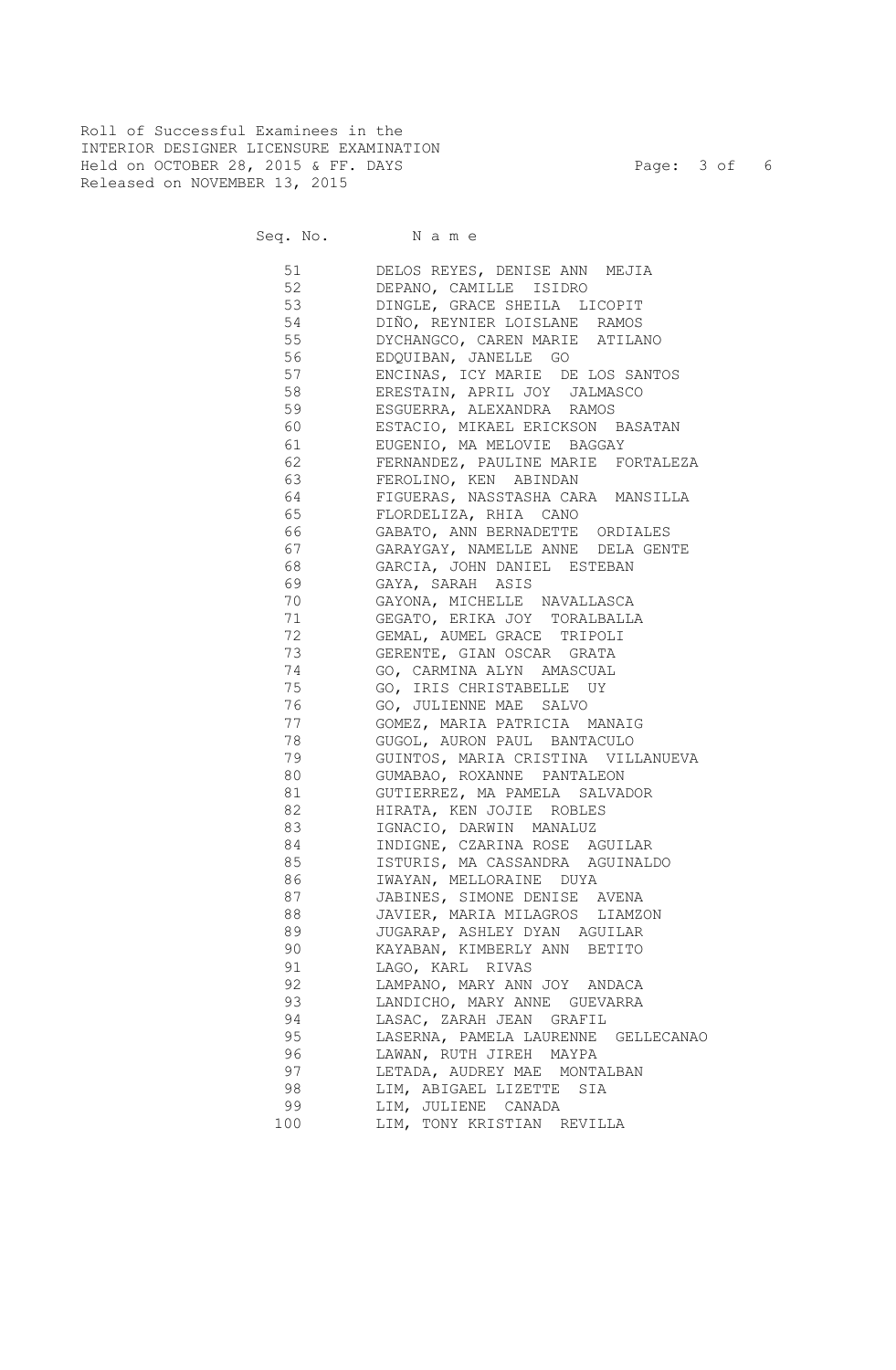Roll of Successful Examinees in the INTERIOR DESIGNER LICENSURE EXAMINATION Held on OCTOBER 28, 2015 & FF. DAYS Page: 3 of 6 Released on NOVEMBER 13, 2015

Seq. No. Name

 51 DELOS REYES, DENISE ANN MEJIA 52 DEPANO, CAMILLE ISIDRO 53 DINGLE, GRACE SHEILA LICOPIT 54 DIÑO, REYNIER LOISLANE RAMOS 55 DYCHANGCO, CAREN MARIE ATILANO 56 EDQUIBAN, JANELLE GO 57 ENCINAS, ICY MARIE DE LOS SANTOS 58 ERESTAIN, APRIL JOY JALMASCO 59 ESGUERRA, ALEXANDRA RAMOS 60 ESTACIO, MIKAEL ERICKSON BASATAN 61 EUGENIO, MA MELOVIE BAGGAY 62 FERNANDEZ, PAULINE MARIE FORTALEZA 63 FEROLINO, KEN ABINDAN 64 FIGUERAS, NASSTASHA CARA MANSILLA 65 FLORDELIZA, RHIA CANO 66 GABATO, ANN BERNADETTE ORDIALES 67 GARAYGAY, NAMELLE ANNE DELA GENTE 68 GARCIA, JOHN DANIEL ESTEBAN 69 GAYA, SARAH ASIS 70 GAYONA, MICHELLE NAVALLASCA 71 GEGATO, ERIKA JOY TORALBALLA 72 GEMAL, AUMEL GRACE TRIPOLI 73 GERENTE, GIAN OSCAR GRATA 74 GO, CARMINA ALYN AMASCUAL 75 GO, IRIS CHRISTABELLE UY 76 GO, JULIENNE MAE SALVO 77 GOMEZ, MARIA PATRICIA MANAIG 78 GUGOL, AURON PAUL BANTACULO 79 GUINTOS, MARIA CRISTINA VILLANUEVA 80 GUMABAO, ROXANNE PANTALEON 81 GUTIERREZ, MA PAMELA SALVADOR 82 HIRATA, KEN JOJIE ROBLES 83 IGNACIO, DARWIN MANALUZ 84 INDIGNE, CZARINA ROSE AGUILAR 85 ISTURIS, MA CASSANDRA AGUINALDO 86 IWAYAN, MELLORAINE DUYA 87 JABINES, SIMONE DENISE AVENA 88 JAVIER, MARIA MILAGROS LIAMZON 89 JUGARAP, ASHLEY DYAN AGUILAR 90 KAYABAN, KIMBERLY ANN BETITO 91 LAGO, KARL RIVAS 92 LAMPANO, MARY ANN JOY ANDACA 93 LANDICHO, MARY ANNE GUEVARRA 94 LASAC, ZARAH JEAN GRAFIL 95 LASERNA, PAMELA LAURENNE GELLECANAO 96 LAWAN, RUTH JIREH MAYPA 97 LETADA, AUDREY MAE MONTALBAN 98 LIM, ABIGAEL LIZETTE SIA 99 LIM, JULIENE CANADA 100 LIM, TONY KRISTIAN REVILLA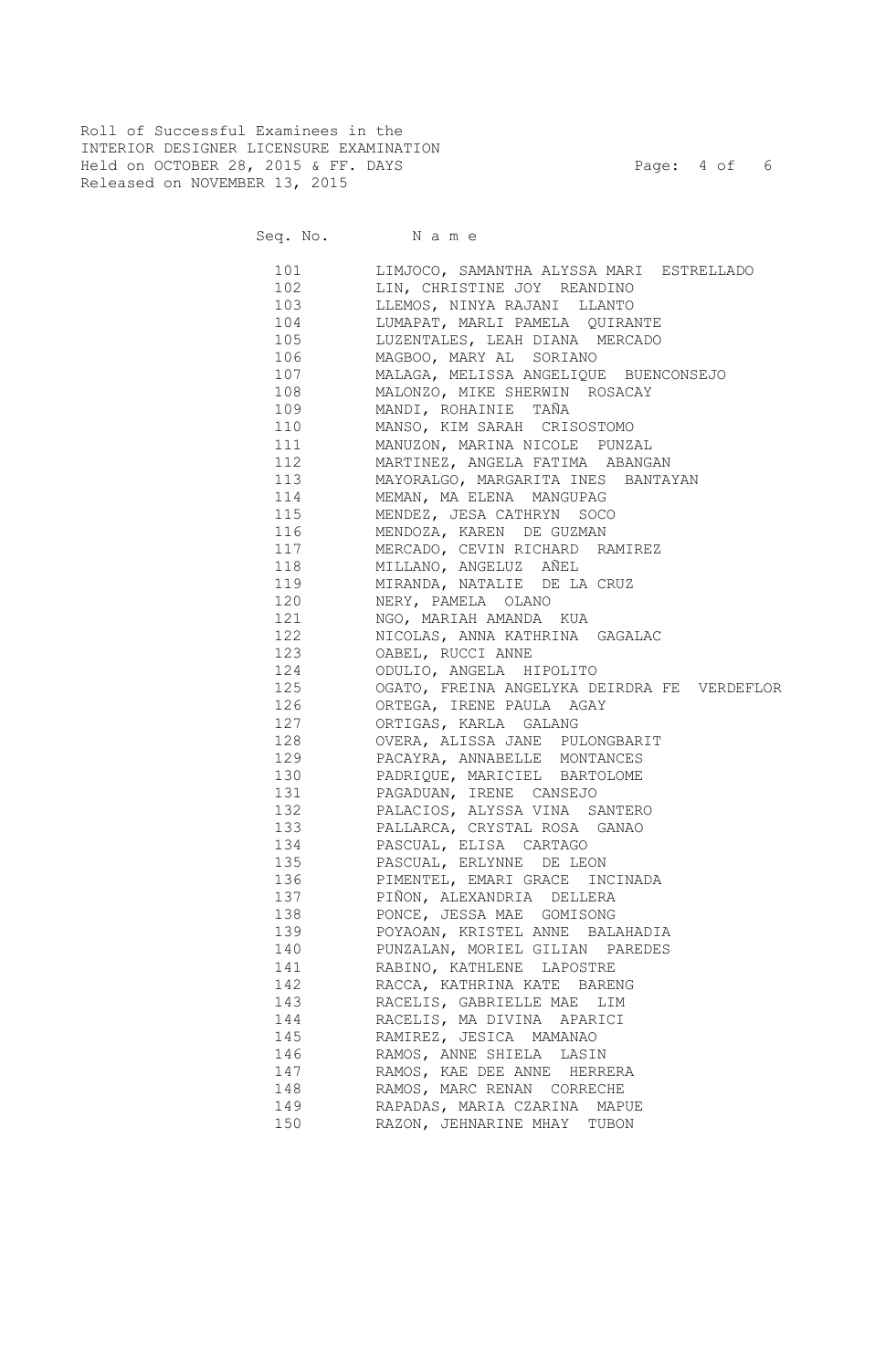Roll of Successful Examinees in the INTERIOR DESIGNER LICENSURE EXAMINATION Held on OCTOBER 28, 2015 & FF. DAYS Page: 4 of 6 Released on NOVEMBER 13, 2015

Seq. No. Name

| 101 — 101 — 101 — 102 — 102 — 103 — 104 — 104 — 104 — 104 — 104 — 104 — 104 — 104 — 104 — 104 — 104 — 104 — 104 — 104 — 104 — 104 — 104 — 104 — 104 — 104 — 104 — 104 — 104 — 104 — 104 — 104 — 104 — 104 — 104 — 104 — 104 — 1 | LIMJOCO, SAMANTHA ALYSSA MARI ESTRELLADO    |
|---------------------------------------------------------------------------------------------------------------------------------------------------------------------------------------------------------------------------------|---------------------------------------------|
| 102                                                                                                                                                                                                                             | LIN, CHRISTINE JOY REANDINO                 |
| 103                                                                                                                                                                                                                             | LLEMOS, NINYA RAJANI LLANTO                 |
| 104                                                                                                                                                                                                                             | LUMAPAT, MARLI PAMELA QUIRANTE              |
| 105                                                                                                                                                                                                                             | LUZENTALES, LEAH DIANA MERCADO              |
| 106                                                                                                                                                                                                                             | MAGBOO, MARY AL SORIANO                     |
| 107                                                                                                                                                                                                                             | MALAGA, MELISSA ANGELIQUE BUENCONSEJO       |
| 108                                                                                                                                                                                                                             | MALONZO, MIKE SHERWIN ROSACAY               |
|                                                                                                                                                                                                                                 | 109 MANDI, ROHAINIE TAÑA                    |
| 110                                                                                                                                                                                                                             | MANSO, KIM SARAH CRISOSTOMO                 |
| 111                                                                                                                                                                                                                             | MANUZON, MARINA NICOLE PUNZAL               |
| 112                                                                                                                                                                                                                             | MARTINEZ, ANGELA FATIMA ABANGAN             |
|                                                                                                                                                                                                                                 | 113 MAYORALGO, MARGARITA INES BANTAYAN      |
|                                                                                                                                                                                                                                 | 114 MEMAN, MA ELENA MANGUPAG                |
|                                                                                                                                                                                                                                 | 115 MENDEZ, JESA CATHRYN SOCO               |
|                                                                                                                                                                                                                                 | 116 MENDOZA, KAREN DE GUZMAN                |
|                                                                                                                                                                                                                                 | 117 MERCADO, CEVIN RICHARD RAMIREZ          |
|                                                                                                                                                                                                                                 | 118 MILLANO, ANGELUZ AÑEL                   |
|                                                                                                                                                                                                                                 | 119 MIRANDA, NATALIE DE LA CRUZ             |
|                                                                                                                                                                                                                                 | 120 NERY, PAMELA OLANO                      |
|                                                                                                                                                                                                                                 | 121 NGO, MARIAH AMANDA KUA                  |
|                                                                                                                                                                                                                                 | 122 NICOLAS, ANNA KATHRINA GAGALAC          |
| 123                                                                                                                                                                                                                             | OABEL, RUCCI ANNE                           |
| 124                                                                                                                                                                                                                             | ODULIO, ANGELA HIPOLITO                     |
| 125                                                                                                                                                                                                                             | OGATO, FREINA ANGELYKA DEIRDRA FE VERDEFLOR |
| 126                                                                                                                                                                                                                             | ORTEGA, IRENE PAULA AGAY                    |
| 127                                                                                                                                                                                                                             | ORTIGAS, KARLA GALANG                       |
| 128                                                                                                                                                                                                                             | OVERA, ALISSA JANE PULONGBARIT              |
| 129                                                                                                                                                                                                                             | PACAYRA, ANNABELLE MONTANCES                |
| 130                                                                                                                                                                                                                             | PADRIQUE, MARICIEL BARTOLOME                |
| 131                                                                                                                                                                                                                             | PAGADUAN, IRENE CANSEJO                     |
| 132                                                                                                                                                                                                                             | PALACIOS, ALYSSA VINA SANTERO               |
| 133                                                                                                                                                                                                                             | PALLARCA, CRYSTAL ROSA GANAO                |
| 134                                                                                                                                                                                                                             | PASCUAL, ELISA CARTAGO                      |
| 135                                                                                                                                                                                                                             | PASCUAL, ERLYNNE DE LEON                    |
| 136                                                                                                                                                                                                                             | PIMENTEL, EMARI GRACE INCINADA              |
| 137                                                                                                                                                                                                                             | PIÑON, ALEXANDRIA DELLERA                   |
| 138                                                                                                                                                                                                                             | PONCE, JESSA MAE GOMISONG                   |
| 139                                                                                                                                                                                                                             | POYAOAN, KRISTEL ANNE BALAHADIA             |
| 140                                                                                                                                                                                                                             | PUNZALAN, MORIEL GILIAN PAREDES             |
| 141                                                                                                                                                                                                                             | RABINO, KATHLENE LAPOSTRE                   |
| 142                                                                                                                                                                                                                             | RACCA, KATHRINA KATE BARENG                 |
| 143                                                                                                                                                                                                                             | RACELIS, GABRIELLE MAE LIM                  |
| 144                                                                                                                                                                                                                             | RACELIS, MA DIVINA APARICI                  |
| 145                                                                                                                                                                                                                             | RAMIREZ, JESICA MAMANAO                     |
| 146                                                                                                                                                                                                                             | RAMOS, ANNE SHIELA LASIN                    |
| 147                                                                                                                                                                                                                             | RAMOS, KAE DEE ANNE HERRERA                 |
| 148                                                                                                                                                                                                                             | RAMOS, MARC RENAN CORRECHE                  |
| 149                                                                                                                                                                                                                             | RAPADAS, MARIA CZARINA MAPUE                |
| 150                                                                                                                                                                                                                             | RAZON, JEHNARINE MHAY<br>TUBON              |
|                                                                                                                                                                                                                                 |                                             |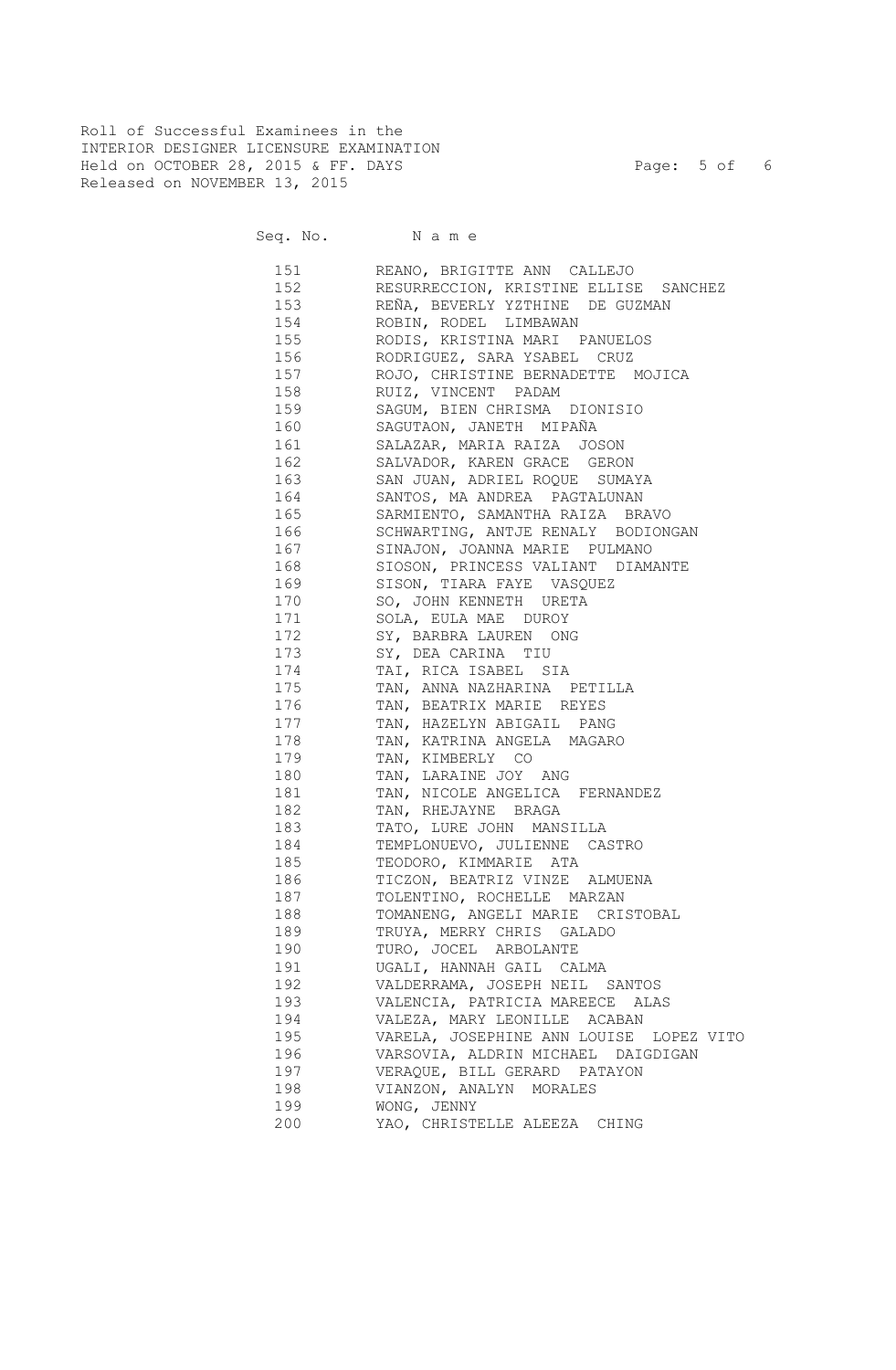Roll of Successful Examinees in the INTERIOR DESIGNER LICENSURE EXAMINATION Held on OCTOBER 28, 2015 & FF. DAYS Page: 5 of 6 Released on NOVEMBER 13, 2015

Seq. No. Name

| 151 | REANO, BRIGITTE ANN CALLEJO             |
|-----|-----------------------------------------|
| 152 | RESURRECCION, KRISTINE ELLISE SANCHEZ   |
| 153 | REÑA, BEVERLY YZTHINE DE GUZMAN         |
| 154 | ROBIN, RODEL LIMBAWAN                   |
| 155 | RODIS, KRISTINA MARI PANUELOS           |
| 156 | RODRIGUEZ, SARA YSABEL CRUZ             |
| 157 | ROJO, CHRISTINE BERNADETTE MOJICA       |
| 158 | RUIZ, VINCENT PADAM                     |
| 159 | SAGUM, BIEN CHRISMA DIONISIO            |
| 160 | SAGUTAON, JANETH MIPAÑA                 |
| 161 | SALAZAR, MARIA RAIZA JOSON              |
| 162 | SALVADOR, KAREN GRACE GERON             |
| 163 | SAN JUAN, ADRIEL ROQUE SUMAYA           |
| 164 | SANTOS, MA ANDREA PAGTALUNAN            |
| 165 | SARMIENTO, SAMANTHA RAIZA BRAVO         |
| 166 | SCHWARTING, ANTJE RENALY BODIONGAN      |
| 167 | SINAJON, JOANNA MARIE PULMANO           |
| 168 | SIOSON, PRINCESS VALIANT DIAMANTE       |
| 169 | SISON, TIARA FAYE VASQUEZ               |
| 170 | SO, JOHN KENNETH URETA                  |
| 171 | SOLA, EULA MAE DUROY                    |
| 172 | SY, BARBRA LAUREN ONG                   |
| 173 | SY, DEA CARINA TIU                      |
| 174 | TAI, RICA ISABEL SIA                    |
| 175 | TAN, ANNA NAZHARINA PETILLA             |
| 176 | TAN, BEATRIX MARIE REYES                |
| 177 | TAN, HAZELYN ABIGAIL PANG               |
| 178 | TAN, KATRINA ANGELA MAGARO              |
| 179 | TAN, KIMBERLY CO                        |
| 180 | TAN, LARAINE JOY ANG                    |
| 181 | TAN, NICOLE ANGELICA FERNANDEZ          |
| 182 | TAN, RHEJAYNE BRAGA                     |
| 183 | TATO, LURE JOHN MANSILLA                |
| 184 | TEMPLONUEVO, JULIENNE CASTRO            |
| 185 | TEODORO, KIMMARIE ATA                   |
| 186 | TICZON, BEATRIZ VINZE ALMUENA           |
| 187 | TOLENTINO, ROCHELLE MARZAN              |
| 188 | TOMANENG, ANGELI MARIE CRISTOBAL        |
| 189 | TRUYA, MERRY CHRIS GALADO               |
| 190 | TURO, JOCEL ARBOLANTE                   |
| 191 | UGALI, HANNAH GAIL CALMA                |
| 192 | VALDERRAMA, JOSEPH NEIL SANTOS          |
| 193 | VALENCIA, PATRICIA MAREECE ALAS         |
| 194 | VALEZA, MARY LEONILLE ACABAN            |
| 195 | VARELA, JOSEPHINE ANN LOUISE LOPEZ VITO |
| 196 |                                         |
| 197 | VARSOVIA, ALDRIN MICHAEL DAIGDIGAN      |
|     | VERAQUE, BILL GERARD PATAYON            |
| 198 | VIANZON, ANALYN MORALES                 |
| 199 | WONG, JENNY                             |
| 200 | YAO, CHRISTELLE ALEEZA CHING            |